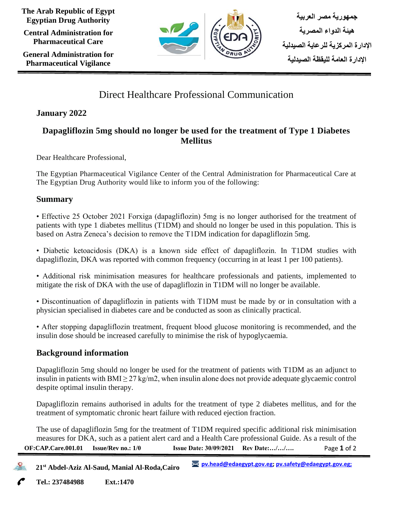**The Arab Republic of Egypt Egyptian Drug Authority**

**Central Administration for Pharmaceutical Care**

**General Administration for Pharmaceutical Vigilance**



**جمهورية مصر العربية هيئة الدواء المصرية اإلدارة المركزية للرعاية الصيدلية اإلدارة العامة لليقظة الصيدلية** 

# Direct Healthcare Professional Communication

## **January 2022**

## **Dapagliflozin 5mg should no longer be used for the treatment of Type 1 Diabetes Mellitus**

Dear Healthcare Professional,

The Egyptian Pharmaceutical Vigilance Center of the Central Administration for Pharmaceutical Care at The Egyptian Drug Authority would like to inform you of the following:

#### **Summary**

• Effective 25 October 2021 Forxiga (dapagliflozin) 5mg is no longer authorised for the treatment of patients with type 1 diabetes mellitus (T1DM) and should no longer be used in this population. This is based on Astra Zeneca's decision to remove the T1DM indication for dapagliflozin 5mg.

• Diabetic ketoacidosis (DKA) is a known side effect of dapagliflozin. In T1DM studies with dapagliflozin, DKA was reported with common frequency (occurring in at least 1 per 100 patients).

• Additional risk minimisation measures for healthcare professionals and patients, implemented to mitigate the risk of DKA with the use of dapagliflozin in T1DM will no longer be available.

• Discontinuation of dapagliflozin in patients with T1DM must be made by or in consultation with a physician specialised in diabetes care and be conducted as soon as clinically practical.

• After stopping dapagliflozin treatment, frequent blood glucose monitoring is recommended, and the insulin dose should be increased carefully to minimise the risk of hypoglycaemia.

## **Background information**

Dapagliflozin 5mg should no longer be used for the treatment of patients with T1DM as an adjunct to insulin in patients with BMI  $>$  27 kg/m2, when insulin alone does not provide adequate glycaemic control despite optimal insulin therapy.

Dapagliflozin remains authorised in adults for the treatment of type 2 diabetes mellitus, and for the treatment of symptomatic chronic heart failure with reduced ejection fraction.

Page **1** of 2 **OF:CAP.Care.001.01 Issue/Rev no.: 1/0 Issue Date: 30/09/2021 Rev Date:…/…/….** The use of dapagliflozin 5mg for the treatment of T1DM required specific additional risk minimisation measures for DKA, such as a patient alert card and a Health Care professional Guide. As a result of the